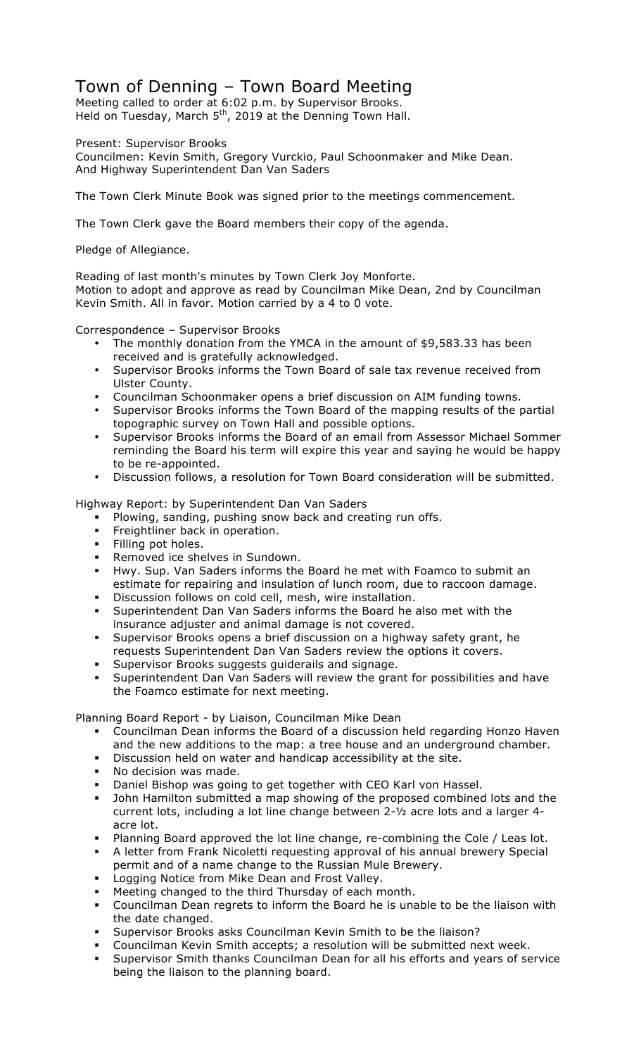## Town of Denning – Town Board Meeting

Meeting called to order at 6:02 p.m. by Supervisor Brooks. Held on Tuesday, March 5<sup>th</sup>, 2019 at the Denning Town Hall.

Present: Supervisor Brooks

Councilmen: Kevin Smith, Gregory Vurckio, Paul Schoonmaker and Mike Dean. And Highway Superintendent Dan Van Saders

The Town Clerk Minute Book was signed prior to the meetings commencement.

The Town Clerk gave the Board members their copy of the agenda.

Pledge of Allegiance.

Reading of last month's minutes by Town Clerk Joy Monforte. Motion to adopt and approve as read by Councilman Mike Dean, 2nd by Councilman Kevin Smith. All in favor. Motion carried by a 4 to 0 vote.

Correspondence – Supervisor Brooks

- The monthly donation from the YMCA in the amount of \$9,583.33 has been received and is gratefully acknowledged.
- Supervisor Brooks informs the Town Board of sale tax revenue received from Ulster County.
- Councilman Schoonmaker opens a brief discussion on AIM funding towns.
- Supervisor Brooks informs the Town Board of the mapping results of the partial topographic survey on Town Hall and possible options.
- Supervisor Brooks informs the Board of an email from Assessor Michael Sommer reminding the Board his term will expire this year and saying he would be happy to be re-appointed.
- Discussion follows, a resolution for Town Board consideration will be submitted.

Highway Report: by Superintendent Dan Van Saders

- ! Plowing, sanding, pushing snow back and creating run offs.
- Freightliner back in operation.
- ! Filling pot holes.
- Removed ice shelves in Sundown.
- ! Hwy. Sup. Van Saders informs the Board he met with Foamco to submit an estimate for repairing and insulation of lunch room, due to raccoon damage.
- ! Discussion follows on cold cell, mesh, wire installation.
- ! Superintendent Dan Van Saders informs the Board he also met with the insurance adjuster and animal damage is not covered.
- ! Supervisor Brooks opens a brief discussion on a highway safety grant, he requests Superintendent Dan Van Saders review the options it covers.
- ! Supervisor Brooks suggests guiderails and signage.
- ! Superintendent Dan Van Saders will review the grant for possibilities and have the Foamco estimate for next meeting.

Planning Board Report - by Liaison, Councilman Mike Dean

- ! Councilman Dean informs the Board of a discussion held regarding Honzo Haven and the new additions to the map: a tree house and an underground chamber.
- ! Discussion held on water and handicap accessibility at the site.
- ! No decision was made.
- ! Daniel Bishop was going to get together with CEO Karl von Hassel.
- ! John Hamilton submitted a map showing of the proposed combined lots and the current lots, including a lot line change between 2-½ acre lots and a larger 4 acre lot.
- Planning Board approved the lot line change, re-combining the Cole / Leas lot.
- ! A letter from Frank Nicoletti requesting approval of his annual brewery Special permit and of a name change to the Russian Mule Brewery.
- Logging Notice from Mike Dean and Frost Valley.
- ! Meeting changed to the third Thursday of each month.
- ! Councilman Dean regrets to inform the Board he is unable to be the liaison with the date changed.
- ! Supervisor Brooks asks Councilman Kevin Smith to be the liaison?
- ! Councilman Kevin Smith accepts; a resolution will be submitted next week.
- ! Supervisor Smith thanks Councilman Dean for all his efforts and years of service being the liaison to the planning board.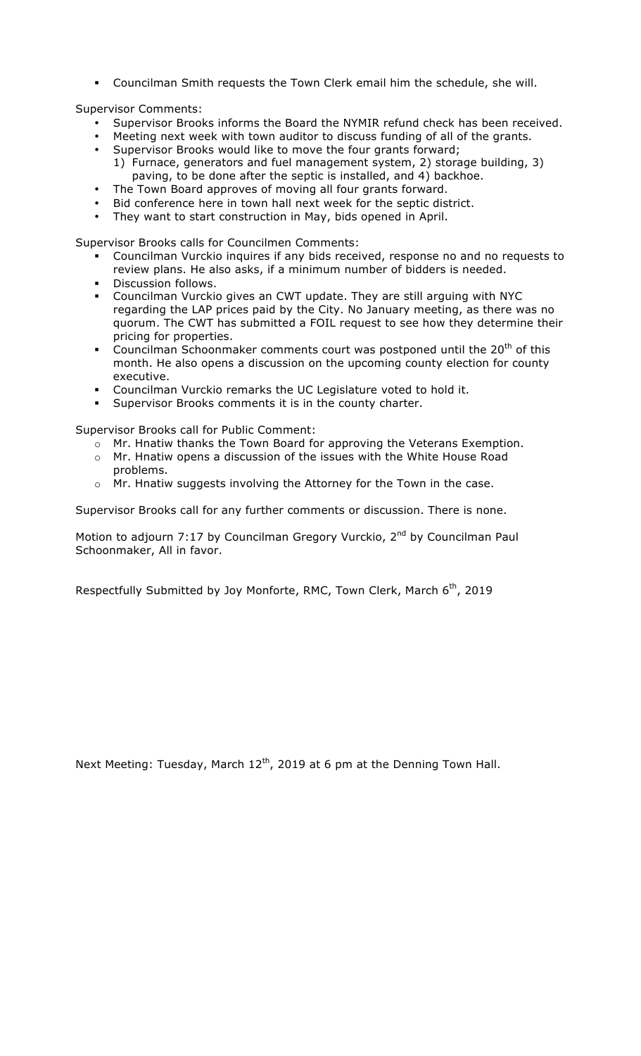! Councilman Smith requests the Town Clerk email him the schedule, she will.

Supervisor Comments:

- Supervisor Brooks informs the Board the NYMIR refund check has been received.
- Meeting next week with town auditor to discuss funding of all of the grants.
- Supervisor Brooks would like to move the four grants forward; 1) Furnace, generators and fuel management system, 2) storage building, 3) paving, to be done after the septic is installed, and 4) backhoe.
- The Town Board approves of moving all four grants forward.
- Bid conference here in town hall next week for the septic district.
- They want to start construction in May, bids opened in April.

Supervisor Brooks calls for Councilmen Comments:

- ! Councilman Vurckio inquires if any bids received, response no and no requests to review plans. He also asks, if a minimum number of bidders is needed.
- **·** Discussion follows.
- ! Councilman Vurckio gives an CWT update. They are still arguing with NYC regarding the LAP prices paid by the City. No January meeting, as there was no quorum. The CWT has submitted a FOIL request to see how they determine their pricing for properties.
- **•** Councilman Schoonmaker comments court was postponed until the  $20<sup>th</sup>$  of this month. He also opens a discussion on the upcoming county election for county executive.
- ! Councilman Vurckio remarks the UC Legislature voted to hold it.
- ! Supervisor Brooks comments it is in the county charter.

Supervisor Brooks call for Public Comment:

- o Mr. Hnatiw thanks the Town Board for approving the Veterans Exemption.
- o Mr. Hnatiw opens a discussion of the issues with the White House Road problems.
- o Mr. Hnatiw suggests involving the Attorney for the Town in the case.

Supervisor Brooks call for any further comments or discussion. There is none.

Motion to adjourn 7:17 by Councilman Gregory Vurckio, 2<sup>nd</sup> by Councilman Paul Schoonmaker, All in favor.

Respectfully Submitted by Joy Monforte, RMC, Town Clerk, March 6<sup>th</sup>, 2019

Next Meeting: Tuesday, March  $12<sup>th</sup>$ , 2019 at 6 pm at the Denning Town Hall.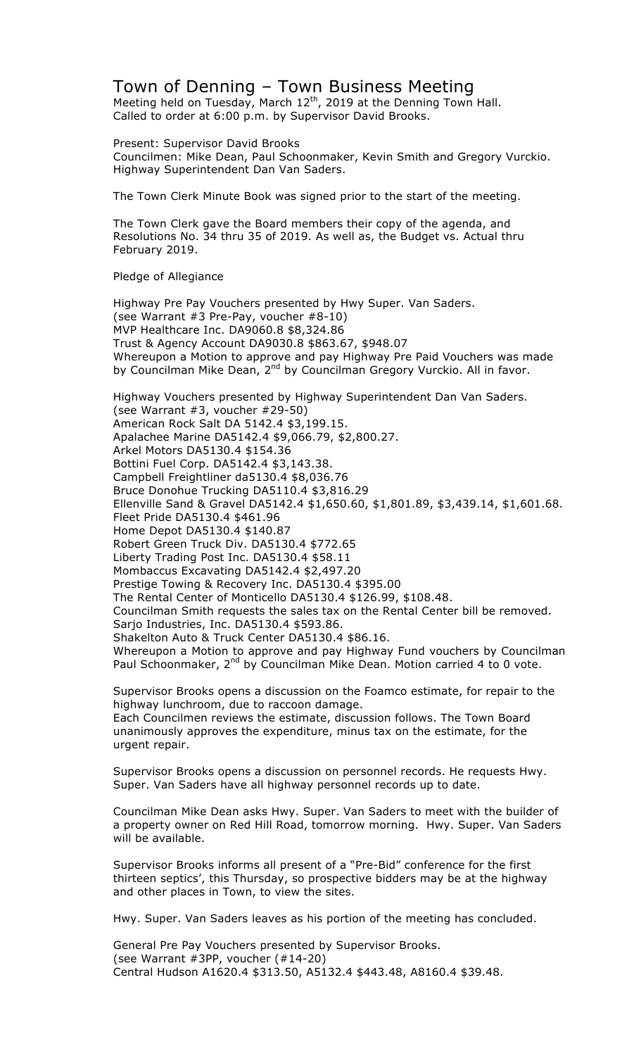## Town of Denning – Town Business Meeting

Meeting held on Tuesday, March  $12<sup>th</sup>$ , 2019 at the Denning Town Hall. Called to order at 6:00 p.m. by Supervisor David Brooks.

Present: Supervisor David Brooks Councilmen: Mike Dean, Paul Schoonmaker, Kevin Smith and Gregory Vurckio. Highway Superintendent Dan Van Saders.

The Town Clerk Minute Book was signed prior to the start of the meeting.

The Town Clerk gave the Board members their copy of the agenda, and Resolutions No. 34 thru 35 of 2019. As well as, the Budget vs. Actual thru February 2019.

Pledge of Allegiance

Highway Pre Pay Vouchers presented by Hwy Super. Van Saders. (see Warrant #3 Pre-Pay, voucher #8-10) MVP Healthcare Inc. DA9060.8 \$8,324.86 Trust & Agency Account DA9030.8 \$863.67, \$948.07 Whereupon a Motion to approve and pay Highway Pre Paid Vouchers was made by Councilman Mike Dean, 2<sup>nd</sup> by Councilman Gregory Vurckio. All in favor. Highway Vouchers presented by Highway Superintendent Dan Van Saders. (see Warrant #3, voucher #29-50) American Rock Salt DA 5142.4 \$3,199.15. Apalachee Marine DA5142.4 \$9,066.79, \$2,800.27. Arkel Motors DA5130.4 \$154.36 Bottini Fuel Corp. DA5142.4 \$3,143.38. Campbell Freightliner da5130.4 \$8,036.76 Bruce Donohue Trucking DA5110.4 \$3,816.29 Ellenville Sand & Gravel DA5142.4 \$1,650.60, \$1,801.89, \$3,439.14, \$1,601.68. Fleet Pride DA5130.4 \$461.96 Home Depot DA5130.4 \$140.87 Robert Green Truck Div. DA5130.4 \$772.65 Liberty Trading Post Inc. DA5130.4 \$58.11 Mombaccus Excavating DA5142.4 \$2,497.20 Prestige Towing & Recovery Inc. DA5130.4 \$395.00 The Rental Center of Monticello DA5130.4 \$126.99, \$108.48. Councilman Smith requests the sales tax on the Rental Center bill be removed. Sarjo Industries, Inc. DA5130.4 \$593.86. Shakelton Auto & Truck Center DA5130.4 \$86.16. Whereupon a Motion to approve and pay Highway Fund vouchers by Councilman Paul Schoonmaker, 2<sup>nd</sup> by Councilman Mike Dean. Motion carried 4 to 0 vote.

Supervisor Brooks opens a discussion on the Foamco estimate, for repair to the highway lunchroom, due to raccoon damage. Each Councilmen reviews the estimate, discussion follows. The Town Board

unanimously approves the expenditure, minus tax on the estimate, for the urgent repair.

Supervisor Brooks opens a discussion on personnel records. He requests Hwy. Super. Van Saders have all highway personnel records up to date.

Councilman Mike Dean asks Hwy. Super. Van Saders to meet with the builder of a property owner on Red Hill Road, tomorrow morning. Hwy. Super. Van Saders will be available.

Supervisor Brooks informs all present of a "Pre-Bid" conference for the first thirteen septics', this Thursday, so prospective bidders may be at the highway and other places in Town, to view the sites.

Hwy. Super. Van Saders leaves as his portion of the meeting has concluded.

General Pre Pay Vouchers presented by Supervisor Brooks. (see Warrant #3PP, voucher (#14-20) Central Hudson A1620.4 \$313.50, A5132.4 \$443.48, A8160.4 \$39.48.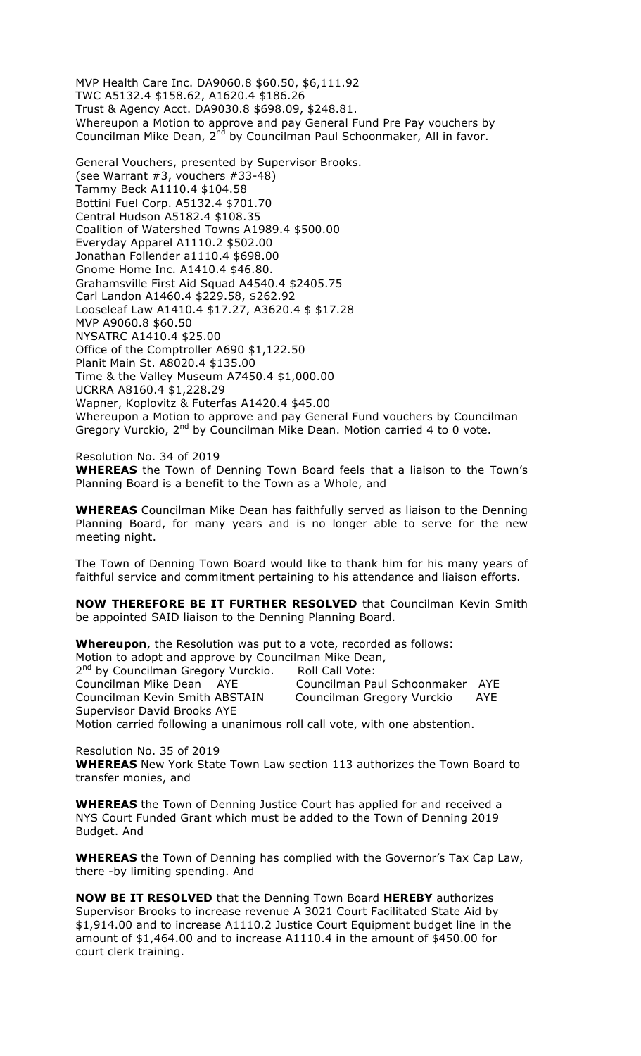MVP Health Care Inc. DA9060.8 \$60.50, \$6,111.92 TWC A5132.4 \$158.62, A1620.4 \$186.26 Trust & Agency Acct. DA9030.8 \$698.09, \$248.81. Whereupon a Motion to approve and pay General Fund Pre Pay vouchers by Councilman Mike Dean, 2<sup>nd</sup> by Councilman Paul Schoonmaker, All in favor.

General Vouchers, presented by Supervisor Brooks. (see Warrant #3, vouchers #33-48) Tammy Beck A1110.4 \$104.58 Bottini Fuel Corp. A5132.4 \$701.70 Central Hudson A5182.4 \$108.35 Coalition of Watershed Towns A1989.4 \$500.00 Everyday Apparel A1110.2 \$502.00 Jonathan Follender a1110.4 \$698.00 Gnome Home Inc. A1410.4 \$46.80. Grahamsville First Aid Squad A4540.4 \$2405.75 Carl Landon A1460.4 \$229.58, \$262.92 Looseleaf Law A1410.4 \$17.27, A3620.4 \$ \$17.28 MVP A9060.8 \$60.50 NYSATRC A1410.4 \$25.00 Office of the Comptroller A690 \$1,122.50 Planit Main St. A8020.4 \$135.00 Time & the Valley Museum A7450.4 \$1,000.00 UCRRA A8160.4 \$1,228.29 Wapner, Koplovitz & Futerfas A1420.4 \$45.00 Whereupon a Motion to approve and pay General Fund vouchers by Councilman Gregory Vurckio, 2<sup>nd</sup> by Councilman Mike Dean. Motion carried 4 to 0 vote.

Resolution No. 34 of 2019 **WHEREAS** the Town of Denning Town Board feels that a liaison to the Town's Planning Board is a benefit to the Town as a Whole, and

**WHEREAS** Councilman Mike Dean has faithfully served as liaison to the Denning Planning Board, for many years and is no longer able to serve for the new meeting night.

The Town of Denning Town Board would like to thank him for his many years of faithful service and commitment pertaining to his attendance and liaison efforts.

**NOW THEREFORE BE IT FURTHER RESOLVED** that Councilman Kevin Smith be appointed SAID liaison to the Denning Planning Board.

**Whereupon**, the Resolution was put to a vote, recorded as follows: Motion to adopt and approve by Councilman Mike Dean, 2<sup>nd</sup> by Councilman Gregory Vurckio. Roll Call Vote:<br>Councilman Mike Dean AYE Councilman Pa Councilman Paul Schoonmaker AYE Councilman Kevin Smith ABSTAIN Councilman Gregory Vurckio AYE Supervisor David Brooks AYE Motion carried following a unanimous roll call vote, with one abstention.

Resolution No. 35 of 2019 **WHEREAS** New York State Town Law section 113 authorizes the Town Board to transfer monies, and

**WHEREAS** the Town of Denning Justice Court has applied for and received a NYS Court Funded Grant which must be added to the Town of Denning 2019 Budget. And

**WHEREAS** the Town of Denning has complied with the Governor's Tax Cap Law, there -by limiting spending. And

**NOW BE IT RESOLVED** that the Denning Town Board **HEREBY** authorizes Supervisor Brooks to increase revenue A 3021 Court Facilitated State Aid by \$1,914.00 and to increase A1110.2 Justice Court Equipment budget line in the amount of \$1,464.00 and to increase A1110.4 in the amount of \$450.00 for court clerk training.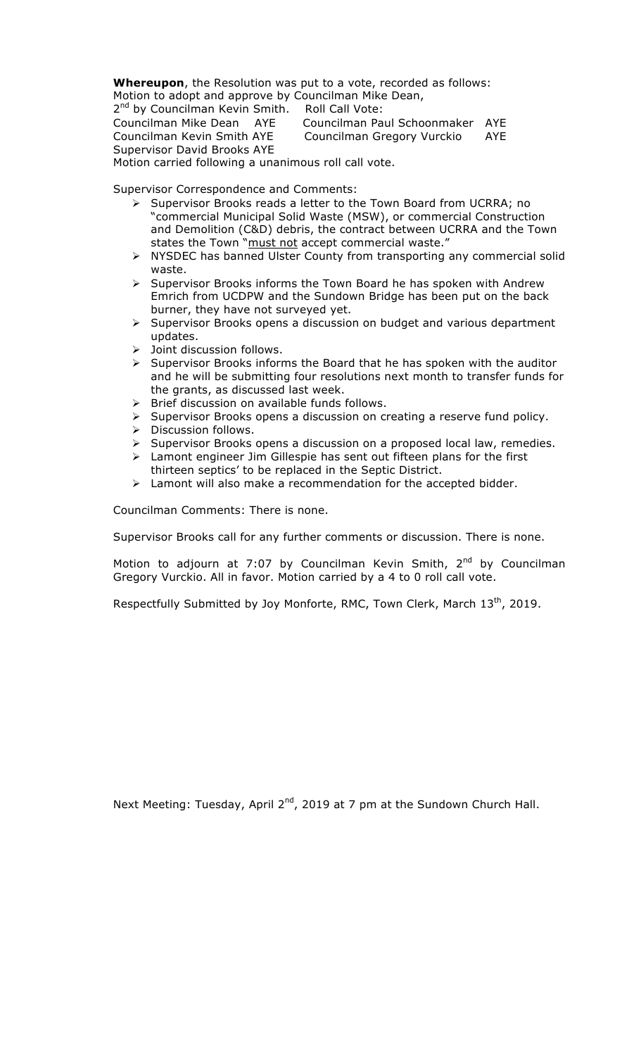**Whereupon**, the Resolution was put to a vote, recorded as follows: Motion to adopt and approve by Councilman Mike Dean,

2<sup>nd</sup> by Councilman Kevin Smith. Roll Call Vote: Councilman Mike Dean AYE Councilman Paul Schoonmaker AYE Councilman Kevin Smith AYE Councilman Gregory Vurckio AYE Supervisor David Brooks AYE

Motion carried following a unanimous roll call vote.

Supervisor Correspondence and Comments:

- > Supervisor Brooks reads a letter to the Town Board from UCRRA; no "commercial Municipal Solid Waste (MSW), or commercial Construction and Demolition (C&D) debris, the contract between UCRRA and the Town states the Town "must not accept commercial waste."
- $\triangleright$  NYSDEC has banned Ulster County from transporting any commercial solid waste.
- $\triangleright$  Supervisor Brooks informs the Town Board he has spoken with Andrew Emrich from UCDPW and the Sundown Bridge has been put on the back burner, they have not surveyed yet.
- $\triangleright$  Supervisor Brooks opens a discussion on budget and various department updates.
- $\triangleright$  Joint discussion follows.
- $\triangleright$  Supervisor Brooks informs the Board that he has spoken with the auditor and he will be submitting four resolutions next month to transfer funds for the grants, as discussed last week.
- $\triangleright$  Brief discussion on available funds follows.<br>  $\triangleright$  Supervisor Brooks opens a discussion on cr
- Supervisor Brooks opens a discussion on creating a reserve fund policy.
- $\triangleright$  Discussion follows.
- > Supervisor Brooks opens a discussion on a proposed local law, remedies.
- $\triangleright$  Lamont engineer Jim Gillespie has sent out fifteen plans for the first thirteen septics' to be replaced in the Septic District.
- $\triangleright$  Lamont will also make a recommendation for the accepted bidder.

Councilman Comments: There is none.

Supervisor Brooks call for any further comments or discussion. There is none.

Motion to adjourn at 7:07 by Councilman Kevin Smith, 2<sup>nd</sup> by Councilman Gregory Vurckio. All in favor. Motion carried by a 4 to 0 roll call vote.

Respectfully Submitted by Joy Monforte, RMC, Town Clerk, March  $13<sup>th</sup>$ , 2019.

Next Meeting: Tuesday, April 2<sup>nd</sup>, 2019 at 7 pm at the Sundown Church Hall.